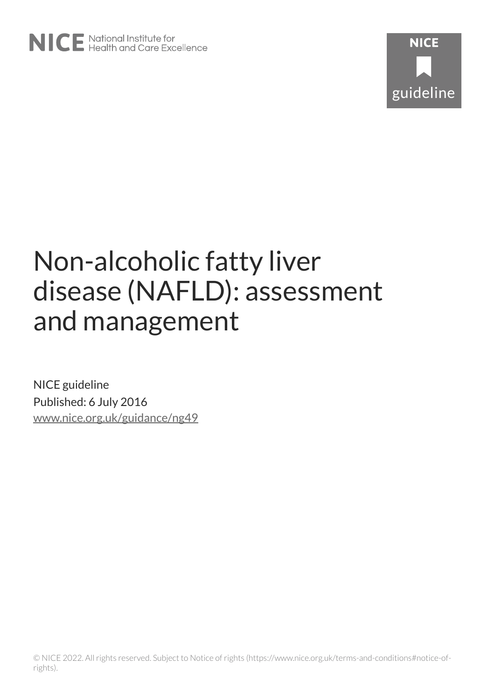

# Non-alcoholic fatty liver disease (NAFLD): assessment and management

NICE guideline Published: 6 July 2016 [www.nice.org.uk/guidance/ng49](https://www.nice.org.uk/guidance/ng49)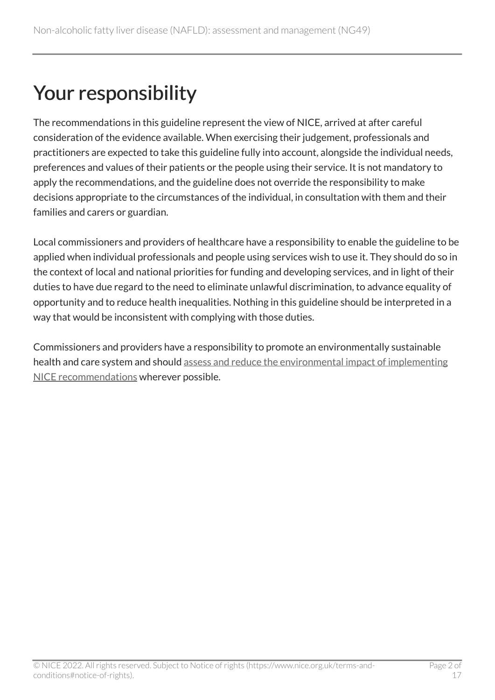## Your responsibility

The recommendations in this guideline represent the view of NICE, arrived at after careful consideration of the evidence available. When exercising their judgement, professionals and practitioners are expected to take this guideline fully into account, alongside the individual needs, preferences and values of their patients or the people using their service. It is not mandatory to apply the recommendations, and the guideline does not override the responsibility to make decisions appropriate to the circumstances of the individual, in consultation with them and their families and carers or guardian.

Local commissioners and providers of healthcare have a responsibility to enable the guideline to be applied when individual professionals and people using services wish to use it. They should do so in the context of local and national priorities for funding and developing services, and in light of their duties to have due regard to the need to eliminate unlawful discrimination, to advance equality of opportunity and to reduce health inequalities. Nothing in this guideline should be interpreted in a way that would be inconsistent with complying with those duties.

Commissioners and providers have a responsibility to promote an environmentally sustainable health and care system and should [assess and reduce the environmental impact of implementing](https://www.nice.org.uk/about/who-we-are/sustainability)  [NICE recommendations](https://www.nice.org.uk/about/who-we-are/sustainability) wherever possible.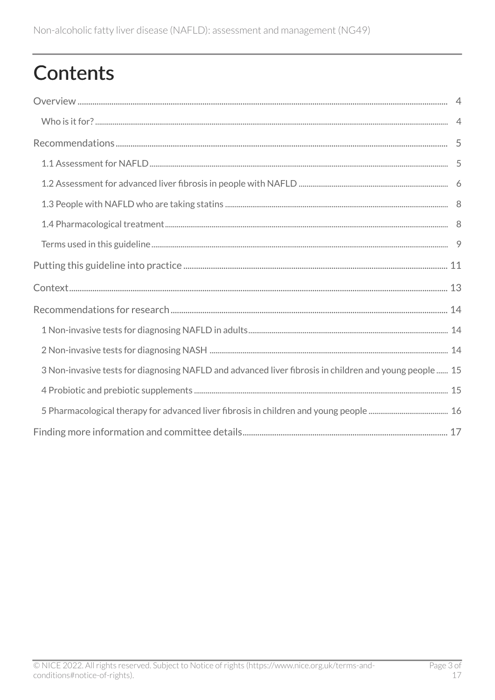## Contents

| 3 Non-invasive tests for diagnosing NAFLD and advanced liver fibrosis in children and young people  15 |  |
|--------------------------------------------------------------------------------------------------------|--|
|                                                                                                        |  |
|                                                                                                        |  |
|                                                                                                        |  |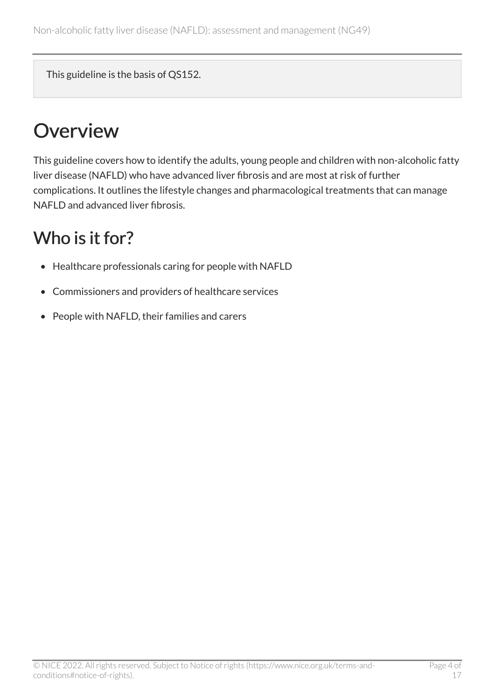This guideline is the basis of QS152.

## <span id="page-3-0"></span>**Overview**

This guideline covers how to identify the adults, young people and children with non-alcoholic fatty liver disease (NAFLD) who have advanced liver fibrosis and are most at risk of further complications. It outlines the lifestyle changes and pharmacological treatments that can manage NAFLD and advanced liver fibrosis.

### <span id="page-3-1"></span>Who is it for?

- Healthcare professionals caring for people with NAFLD
- Commissioners and providers of healthcare services
- People with NAFLD, their families and carers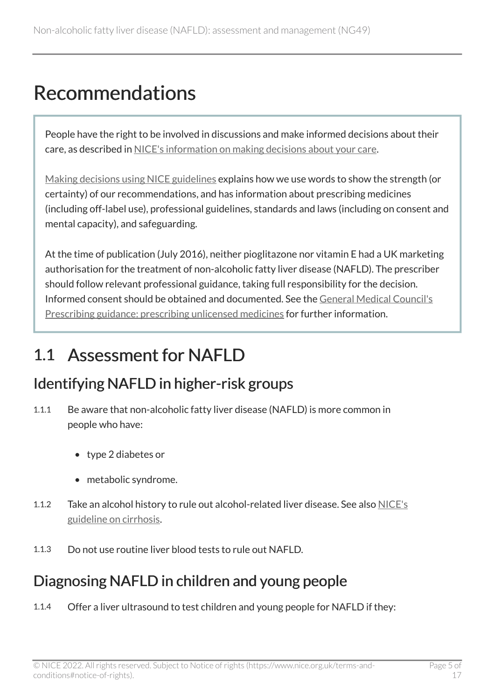## <span id="page-4-0"></span>Recommendations

People have the right to be involved in discussions and make informed decisions about their care, as described in [NICE's information on making decisions about your care](https://www.nice.org.uk/about/nice-communities/nice-and-the-public/making-decisions-about-your-care).

[Making decisions using NICE guidelines](https://www.nice.org.uk/about/what-we-do/our-programmes/nice-guidance/nice-guidelines/using-NICE-guidelines-to-make-decisions) explains how we use words to show the strength (or certainty) of our recommendations, and has information about prescribing medicines (including off-label use), professional guidelines, standards and laws (including on consent and mental capacity), and safeguarding.

At the time of publication (July 2016), neither pioglitazone nor vitamin E had a UK marketing authorisation for the treatment of non-alcoholic fatty liver disease (NAFLD). The prescriber should follow relevant professional guidance, taking full responsibility for the decision. Informed consent should be obtained and documented. See the [General Medical Council's](https://www.gmc-uk.org/ethical-guidance/ethical-guidance-for-doctors/good-practice-in-prescribing-and-managing-medicines-and-devices/)  [Prescribing guidance: prescribing unlicensed medicines](https://www.gmc-uk.org/ethical-guidance/ethical-guidance-for-doctors/good-practice-in-prescribing-and-managing-medicines-and-devices/) for further information.

### <span id="page-4-1"></span>1.1 Assessment for NAFLD

#### Identifying NAFLD in higher-risk groups

- 1.1.1 Be aware that non-alcoholic fatty liver disease (NAFLD) is more common in people who have:
	- type 2 diabetes or
	- metabolic syndrome.
- 1.1.2 Take an alcohol history to rule out alcohol-related liver disease. See also [NICE's](https://www.nice.org.uk/guidance/ng50)  [guideline on cirrhosis](https://www.nice.org.uk/guidance/ng50).
- 1.1.3 Do not use routine liver blood tests to rule out NAFLD.

#### Diagnosing NAFLD in children and young people

1.1.4 Offer a liver ultrasound to test children and young people for NAFLD if they: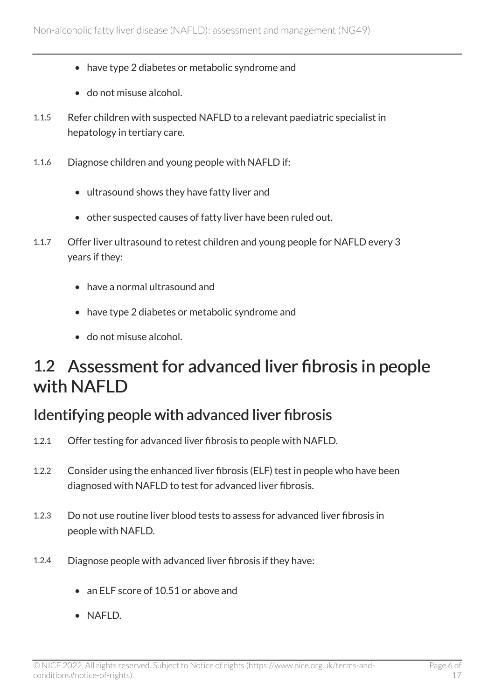- have type 2 diabetes or metabolic syndrome and
- do not misuse alcohol.
- 1.1.5 Refer children with suspected NAFLD to a relevant paediatric specialist in hepatology in tertiary care.
- 1.1.6 Diagnose children and young people with NAFLD if:
	- ultrasound shows they have fatty liver and
	- other suspected causes of fatty liver have been ruled out.
- 1.1.7 Offer liver ultrasound to retest children and young people for NAFLD every 3 years if they:
	- have a normal ultrasound and
	- have type 2 diabetes or metabolic syndrome and
	- do not misuse alcohol.

#### <span id="page-5-0"></span>1.2 Assessment for advanced liver fibrosis in people with NAFLD

#### Identifying people with advanced liver fibrosis

- 1.2.1 Offer testing for advanced liver fibrosis to people with NAFLD.
- 1.2.2 Consider using the enhanced liver fibrosis (ELF) test in people who have been diagnosed with NAFLD to test for advanced liver fibrosis.
- 1.2.3 Do not use routine liver blood tests to assess for advanced liver fibrosis in people with NAFLD.
- 1.2.4 Diagnose people with advanced liver fibrosis if they have:
	- an ELF score of 10.51 or above and
	- NAFLD.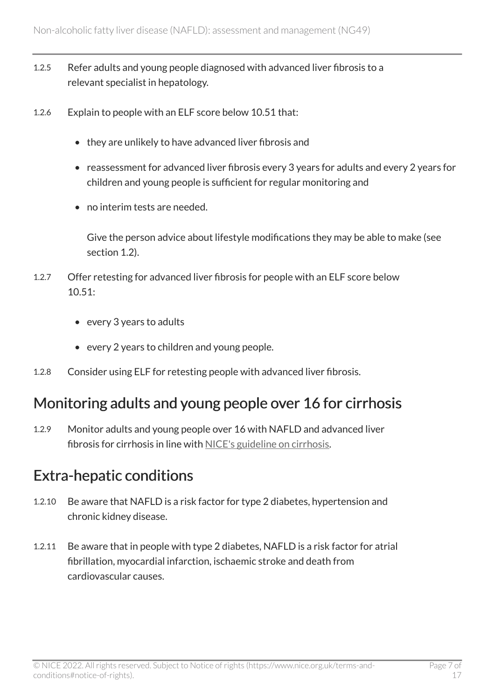- 1.2.5 Refer adults and young people diagnosed with advanced liver fibrosis to a relevant specialist in hepatology.
- 1.2.6 Explain to people with an ELF score below 10.51 that:
	- they are unlikely to have advanced liver fibrosis and
	- reassessment for advanced liver fibrosis every 3 years for adults and every 2 years for children and young people is sufficient for regular monitoring and
	- no interim tests are needed.

Give the person advice about lifestyle modifications they may be able to make (see section 1.2).

- 1.2.7 Offer retesting for advanced liver fibrosis for people with an ELF score below  $10.51$ 
	- every 3 years to adults
	- every 2 years to children and young people.
- 1.2.8 Consider using ELF for retesting people with advanced liver fibrosis.

#### Monitoring adults and young people over 16 for cirrhosis

1.2.9 Monitor adults and young people over 16 with NAFLD and advanced liver fibrosis for cirrhosis in line with [NICE's guideline on cirrhosis](https://www.nice.org.uk/guidance/ng50).

#### Extra-hepatic conditions

- 1.2.10 Be aware that NAFLD is a risk factor for type 2 diabetes, hypertension and chronic kidney disease.
- 1.2.11 Be aware that in people with type 2 diabetes, NAFLD is a risk factor for atrial fibrillation, myocardial infarction, ischaemic stroke and death from cardiovascular causes.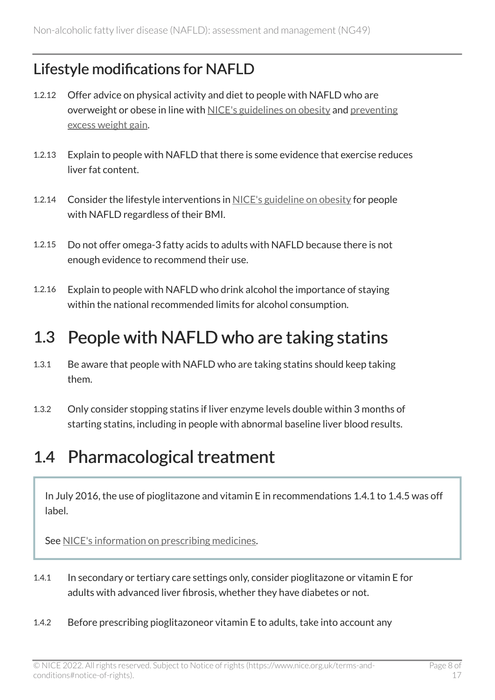#### Lifestyle modifications for NAFLD

- 1.2.12 Offer advice on physical activity and diet to people with NAFLD who are overweight or obese in line with [NICE's guidelines on obesity](https://www.nice.org.uk/guidance/cg189) and [preventing](https://www.nice.org.uk/guidance/ng7) [excess weight gain.](https://www.nice.org.uk/guidance/ng7)
- 1.2.13 Explain to people with NAFLD that there is some evidence that exercise reduces liver fat content.
- 1.2.14 Consider the lifestyle interventions in [NICE's guideline on obesity](https://www.nice.org.uk/guidance/cg189) for people with NAFLD regardless of their BMI.
- 1.2.15 Do not offer omega-3 fatty acids to adults with NAFLD because there is not enough evidence to recommend their use.
- 1.2.16 Explain to people with NAFLD who drink alcohol the importance of staying within the national recommended limits for alcohol consumption.

### <span id="page-7-0"></span>1.3 People with NAFLD who are taking statins

- 1.3.1 Be aware that people with NAFLD who are taking statins should keep taking them.
- 1.3.2 Only consider stopping statins if liver enzyme levels double within 3 months of starting statins, including in people with abnormal baseline liver blood results.

### <span id="page-7-1"></span>1.4 Pharmacological treatment

In July 2016, the use of pioglitazone and vitamin E in recommendations 1.4.1 to 1.4.5 was off label.

See [NICE's information on prescribing medicines.](https://www.nice.org.uk/about/what-we-do/our-programmes/nice-guidance/nice-guidelines/making-decisions-using-nice-guidelines#prescribing-medicines)

- 1.4.1 In secondary or tertiary care settings only, consider pioglitazone or vitamin E for adults with advanced liver fibrosis, whether they have diabetes or not.
- 1.4.2 Before prescribing pioglitazoneor vitamin E to adults, take into account any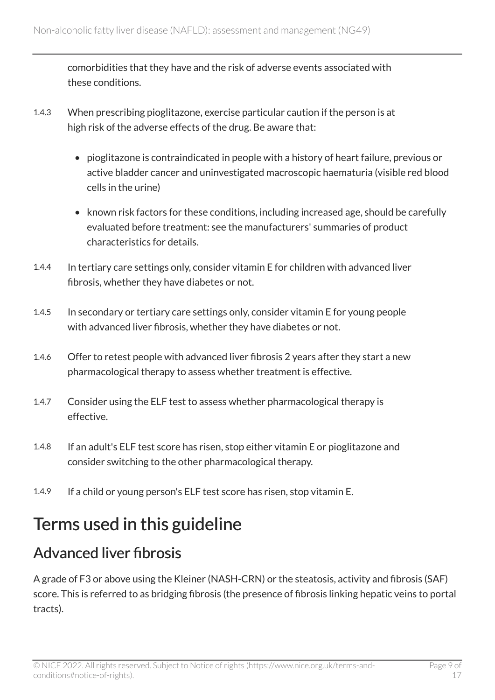comorbidities that they have and the risk of adverse events associated with these conditions.

- 1.4.3 When prescribing pioglitazone, exercise particular caution if the person is at high risk of the adverse effects of the drug. Be aware that:
	- pioglitazone is contraindicated in people with a history of heart failure, previous or active bladder cancer and uninvestigated macroscopic haematuria (visible red blood cells in the urine)
	- known risk factors for these conditions, including increased age, should be carefully evaluated before treatment: see the manufacturers' summaries of product characteristics for details.
- 1.4.4 In tertiary care settings only, consider vitamin E for children with advanced liver fibrosis, whether they have diabetes or not.
- 1.4.5 In secondary or tertiary care settings only, consider vitamin E for young people with advanced liver fibrosis, whether they have diabetes or not.
- 1.4.6 Offer to retest people with advanced liver fibrosis 2 years after they start a new pharmacological therapy to assess whether treatment is effective.
- 1.4.7 Consider using the ELF test to assess whether pharmacological therapy is effective.
- 1.4.8 If an adult's ELF test score has risen, stop either vitamin E or pioglitazone and consider switching to the other pharmacological therapy.
- 1.4.9 If a child or young person's ELF test score has risen, stop vitamin E.

### <span id="page-8-0"></span>Terms used in this guideline

#### Advanced liver fibrosis

A grade of F3 or above using the Kleiner (NASH-CRN) or the steatosis, activity and fibrosis (SAF) score. This is referred to as bridging fibrosis (the presence of fibrosis linking hepatic veins to portal tracts).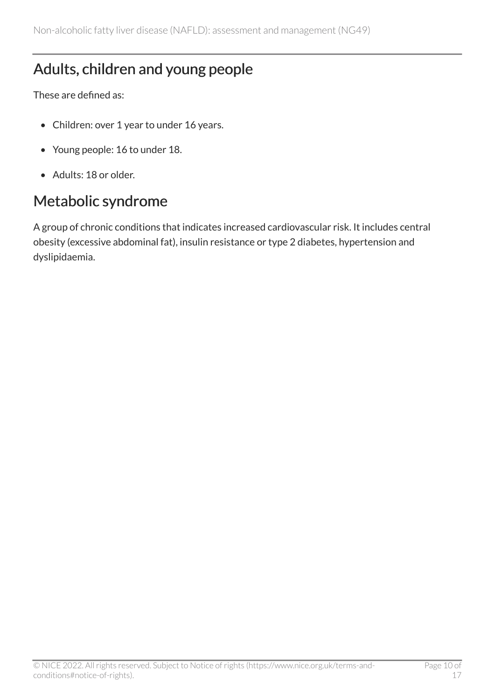#### Adults, children and young people

These are defined as:

- Children: over 1 year to under 16 years.
- Young people: 16 to under 18.
- Adults: 18 or older.

#### Metabolic syndrome

A group of chronic conditions that indicates increased cardiovascular risk. It includes central obesity (excessive abdominal fat), insulin resistance or type 2 diabetes, hypertension and dyslipidaemia.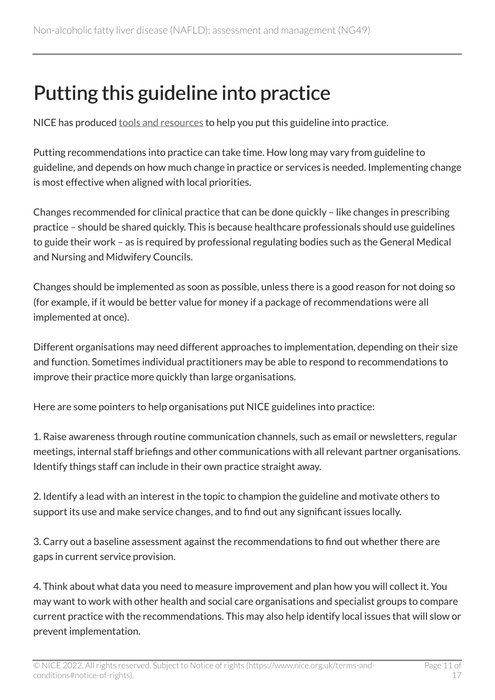## <span id="page-10-0"></span>Putting this guideline into practice

NICE has produced [tools and resources](http://www.nice.org.uk/guidance/ng49/resources) to help you put this guideline into practice.

Putting recommendations into practice can take time. How long may vary from guideline to guideline, and depends on how much change in practice or services is needed. Implementing change is most effective when aligned with local priorities.

Changes recommended for clinical practice that can be done quickly – like changes in prescribing practice – should be shared quickly. This is because healthcare professionals should use guidelines to guide their work – as is required by professional regulating bodies such as the General Medical and Nursing and Midwifery Councils.

Changes should be implemented as soon as possible, unless there is a good reason for not doing so (for example, if it would be better value for money if a package of recommendations were all implemented at once).

Different organisations may need different approaches to implementation, depending on their size and function. Sometimes individual practitioners may be able to respond to recommendations to improve their practice more quickly than large organisations.

Here are some pointers to help organisations put NICE guidelines into practice:

1. Raise awareness through routine communication channels, such as email or newsletters, regular meetings, internal staff briefings and other communications with all relevant partner organisations. Identify things staff can include in their own practice straight away.

2. Identify a lead with an interest in the topic to champion the guideline and motivate others to support its use and make service changes, and to find out any significant issues locally.

3. Carry out a baseline assessment against the recommendations to find out whether there are gaps in current service provision.

4. Think about what data you need to measure improvement and plan how you will collect it. You may want to work with other health and social care organisations and specialist groups to compare current practice with the recommendations. This may also help identify local issues that will slow or prevent implementation.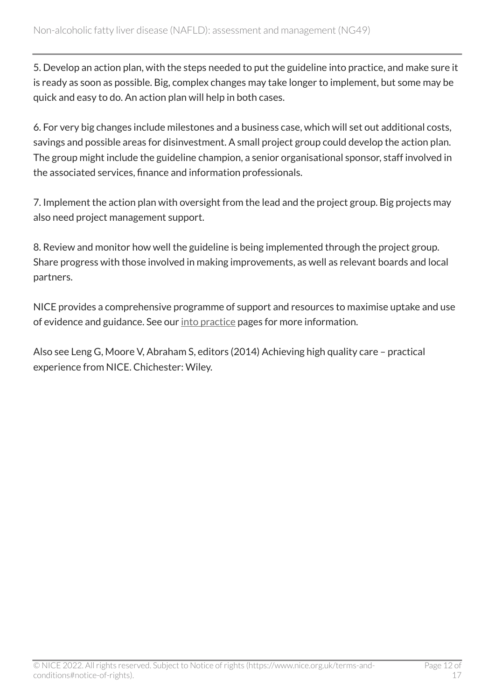5. Develop an action plan, with the steps needed to put the guideline into practice, and make sure it is ready as soon as possible. Big, complex changes may take longer to implement, but some may be quick and easy to do. An action plan will help in both cases.

6. For very big changes include milestones and a business case, which will set out additional costs, savings and possible areas for disinvestment. A small project group could develop the action plan. The group might include the guideline champion, a senior organisational sponsor, staff involved in the associated services, finance and information professionals.

7. Implement the action plan with oversight from the lead and the project group. Big projects may also need project management support.

8. Review and monitor how well the guideline is being implemented through the project group. Share progress with those involved in making improvements, as well as relevant boards and local partners.

NICE provides a comprehensive programme of support and resources to maximise uptake and use of evidence and guidance. See our [into practice](https://www.nice.org.uk/about/what-we-do/into-practice) pages for more information.

Also see Leng G, Moore V, Abraham S, editors (2014) Achieving high quality care – practical experience from NICE. Chichester: Wiley.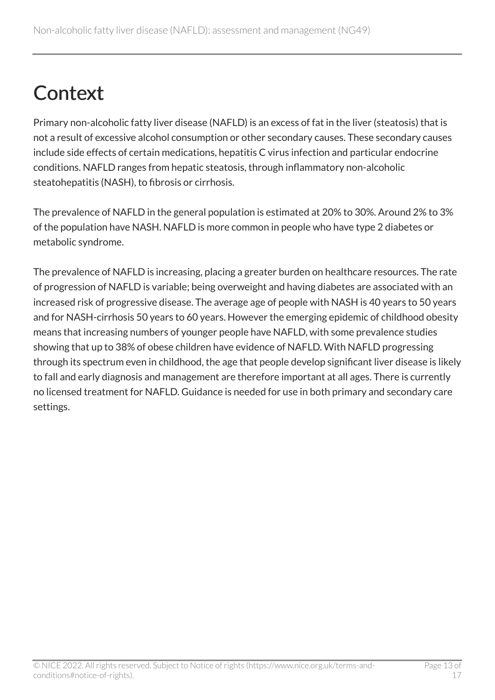## <span id="page-12-0"></span>**Context**

Primary non-alcoholic fatty liver disease (NAFLD) is an excess of fat in the liver (steatosis) that is not a result of excessive alcohol consumption or other secondary causes. These secondary causes include side effects of certain medications, hepatitis C virus infection and particular endocrine conditions. NAFLD ranges from hepatic steatosis, through inflammatory non-alcoholic steatohepatitis (NASH), to fibrosis or cirrhosis.

The prevalence of NAFLD in the general population is estimated at 20% to 30%. Around 2% to 3% of the population have NASH. NAFLD is more common in people who have type 2 diabetes or metabolic syndrome.

The prevalence of NAFLD is increasing, placing a greater burden on healthcare resources. The rate of progression of NAFLD is variable; being overweight and having diabetes are associated with an increased risk of progressive disease. The average age of people with NASH is 40 years to 50 years and for NASH-cirrhosis 50 years to 60 years. However the emerging epidemic of childhood obesity means that increasing numbers of younger people have NAFLD, with some prevalence studies showing that up to 38% of obese children have evidence of NAFLD. With NAFLD progressing through its spectrum even in childhood, the age that people develop significant liver disease is likely to fall and early diagnosis and management are therefore important at all ages. There is currently no licensed treatment for NAFLD. Guidance is needed for use in both primary and secondary care settings.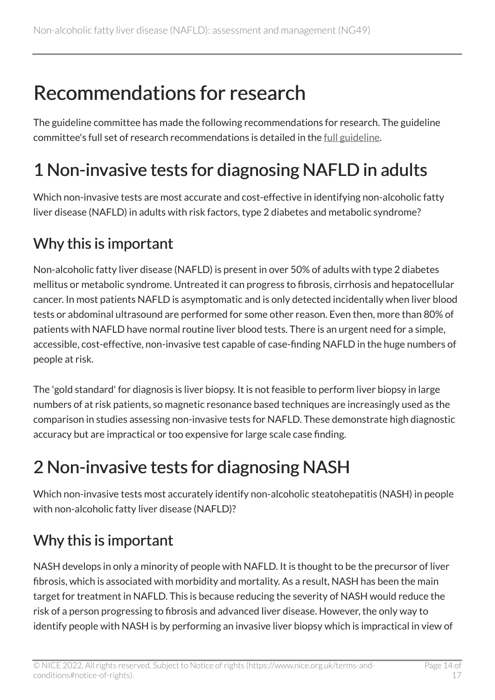## <span id="page-13-0"></span>Recommendations for research

The guideline committee has made the following recommendations for research. The guideline committee's full set of research recommendations is detailed in the [full guideline.](http://www.nice.org.uk/Guidance/NG49/evidence)

## <span id="page-13-1"></span>1 Non-invasive tests for diagnosing NAFLD in adults

Which non-invasive tests are most accurate and cost-effective in identifying non-alcoholic fatty liver disease (NAFLD) in adults with risk factors, type 2 diabetes and metabolic syndrome?

#### Why this is important

Non-alcoholic fatty liver disease (NAFLD) is present in over 50% of adults with type 2 diabetes mellitus or metabolic syndrome. Untreated it can progress to fibrosis, cirrhosis and hepatocellular cancer. In most patients NAFLD is asymptomatic and is only detected incidentally when liver blood tests or abdominal ultrasound are performed for some other reason. Even then, more than 80% of patients with NAFLD have normal routine liver blood tests. There is an urgent need for a simple, accessible, cost-effective, non-invasive test capable of case-finding NAFLD in the huge numbers of people at risk.

The 'gold standard' for diagnosis is liver biopsy. It is not feasible to perform liver biopsy in large numbers of at risk patients, so magnetic resonance based techniques are increasingly used as the comparison in studies assessing non-invasive tests for NAFLD. These demonstrate high diagnostic accuracy but are impractical or too expensive for large scale case finding.

## <span id="page-13-2"></span>2 Non-invasive tests for diagnosing NASH

Which non-invasive tests most accurately identify non-alcoholic steatohepatitis (NASH) in people with non-alcoholic fatty liver disease (NAFLD)?

#### Why this is important

NASH develops in only a minority of people with NAFLD. It is thought to be the precursor of liver fibrosis, which is associated with morbidity and mortality. As a result, NASH has been the main target for treatment in NAFLD. This is because reducing the severity of NASH would reduce the risk of a person progressing to fibrosis and advanced liver disease. However, the only way to identify people with NASH is by performing an invasive liver biopsy which is impractical in view of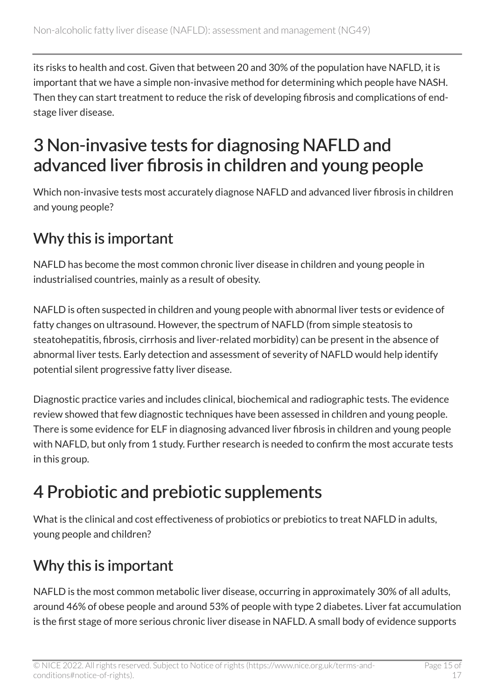its risks to health and cost. Given that between 20 and 30% of the population have NAFLD, it is important that we have a simple non-invasive method for determining which people have NASH. Then they can start treatment to reduce the risk of developing fibrosis and complications of endstage liver disease.

### <span id="page-14-0"></span>3 Non-invasive tests for diagnosing NAFLD and advanced liver fibrosis in children and young people

Which non-invasive tests most accurately diagnose NAFLD and advanced liver fibrosis in children and young people?

#### Why this is important

NAFLD has become the most common chronic liver disease in children and young people in industrialised countries, mainly as a result of obesity.

NAFLD is often suspected in children and young people with abnormal liver tests or evidence of fatty changes on ultrasound. However, the spectrum of NAFLD (from simple steatosis to steatohepatitis, fibrosis, cirrhosis and liver-related morbidity) can be present in the absence of abnormal liver tests. Early detection and assessment of severity of NAFLD would help identify potential silent progressive fatty liver disease.

Diagnostic practice varies and includes clinical, biochemical and radiographic tests. The evidence review showed that few diagnostic techniques have been assessed in children and young people. There is some evidence for ELF in diagnosing advanced liver fibrosis in children and young people with NAFLD, but only from 1 study. Further research is needed to confirm the most accurate tests in this group.

### <span id="page-14-1"></span>4 Probiotic and prebiotic supplements

What is the clinical and cost effectiveness of probiotics or prebiotics to treat NAFLD in adults, young people and children?

#### Why this is important

NAFLD is the most common metabolic liver disease, occurring in approximately 30% of all adults, around 46% of obese people and around 53% of people with type 2 diabetes. Liver fat accumulation is the first stage of more serious chronic liver disease in NAFLD. A small body of evidence supports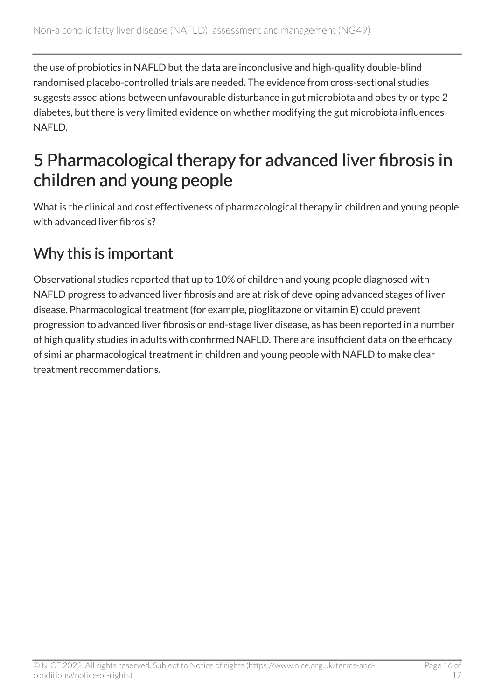the use of probiotics in NAFLD but the data are inconclusive and high-quality double-blind randomised placebo-controlled trials are needed. The evidence from cross-sectional studies suggests associations between unfavourable disturbance in gut microbiota and obesity or type 2 diabetes, but there is very limited evidence on whether modifying the gut microbiota influences NAFLD.

### <span id="page-15-0"></span>5 Pharmacological therapy for advanced liver fibrosis in children and young people

What is the clinical and cost effectiveness of pharmacological therapy in children and young people with advanced liver fibrosis?

#### Why this is important

Observational studies reported that up to 10% of children and young people diagnosed with NAFLD progress to advanced liver fibrosis and are at risk of developing advanced stages of liver disease. Pharmacological treatment (for example, pioglitazone or vitamin E) could prevent progression to advanced liver fibrosis or end-stage liver disease, as has been reported in a number of high quality studies in adults with confirmed NAFLD. There are insufficient data on the efficacy of similar pharmacological treatment in children and young people with NAFLD to make clear treatment recommendations.